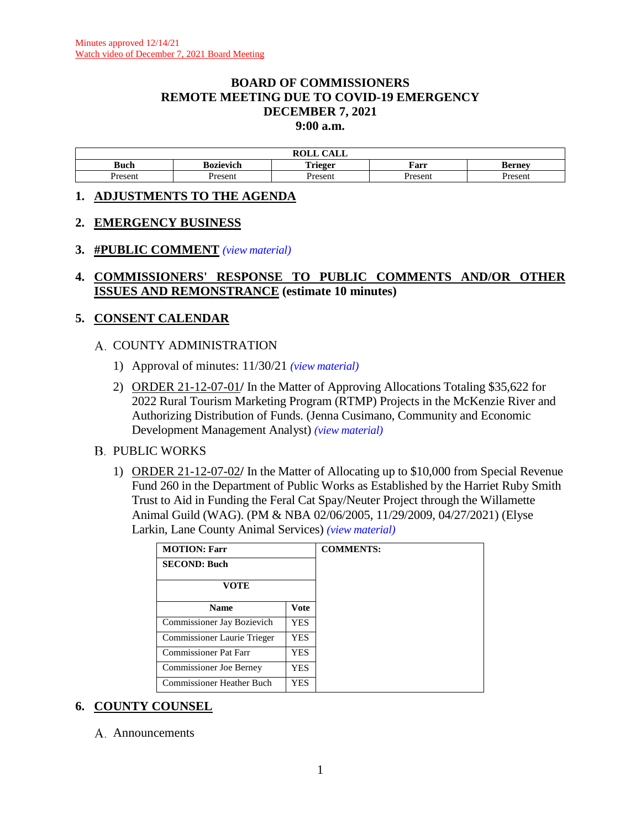#### **BOARD OF COMMISSIONERS REMOTE MEETING DUE TO COVID-19 EMERGENCY DECEMBER 7, 2021 9:00 a.m.**

|                  |                  | $\sim$<br>.<br>$\mathbf{max}$<br><u>Calil</u><br>NVLL |         |               |  |
|------------------|------------------|-------------------------------------------------------|---------|---------------|--|
| Buch             | <b>Bozievich</b> | m<br>. .<br>'rieger<br><b>ALLELL</b>                  | Farr    | Kernev        |  |
| Jrocont<br>'SUIL | Present          | Jrocon<br>SULL.                                       | Present | <i>r</i> acan |  |

#### **1. ADJUSTMENTS TO THE AGENDA**

#### **2. EMERGENCY BUSINESS**

#### **3. #PUBLIC COMMENT** *(view [material\)](http://www.lanecountyor.gov/UserFiles/Servers/Server_3585797/File/Government/BCC/2021/2021_AGENDAS/120721agenda/T.3.pdf)*

### **4. COMMISSIONERS' RESPONSE TO PUBLIC COMMENTS AND/OR OTHER ISSUES AND REMONSTRANCE (estimate 10 minutes)**

#### **5. CONSENT CALENDAR**

#### A. COUNTY ADMINISTRATION

- 1) Approval of minutes: 11/30/21 *(view [material\)](http://www.lanecountyor.gov/UserFiles/Servers/Server_3585797/File/Government/BCC/2021/2021_AGENDAS/120721agenda/T.5.A.1.pdf)*
- 2) ORDER 21-12-07-01**/** In the Matter of Approving Allocations Totaling \$35,622 for 2022 Rural Tourism Marketing Program (RTMP) Projects in the McKenzie River and Authorizing Distribution of Funds. (Jenna Cusimano, Community and Economic Development Management Analyst) *(view [material\)](http://www.lanecountyor.gov/UserFiles/Servers/Server_3585797/File/Government/BCC/2021/2021_AGENDAS/120721agenda/T.5.A.2.pdf)*

#### **B. PUBLIC WORKS**

1) ORDER 21-12-07-02**/** In the Matter of Allocating up to \$10,000 from Special Revenue Fund 260 in the Department of Public Works as Established by the Harriet Ruby Smith Trust to Aid in Funding the Feral Cat Spay/Neuter Project through the Willamette Animal Guild (WAG). (PM & NBA 02/06/2005, 11/29/2009, 04/27/2021) (Elyse Larkin, Lane County Animal Services) *(view [material\)](http://www.lanecountyor.gov/UserFiles/Servers/Server_3585797/File/Government/BCC/2021/2021_AGENDAS/120721agenda/T.5.B.1.pdf)*

| <b>MOTION: Farr</b>            |            |
|--------------------------------|------------|
| <b>SECOND: Buch</b>            |            |
| VOTE                           |            |
| <b>Name</b>                    | Vote       |
| Commissioner Jay Bozievich     | <b>YES</b> |
| Commissioner Laurie Trieger    | YES.       |
| Commissioner Pat Farr          | <b>YES</b> |
| <b>Commissioner Joe Berney</b> | YES.       |
| Commissioner Heather Buch      | YES        |

### **6. COUNTY COUNSEL**

A. Announcements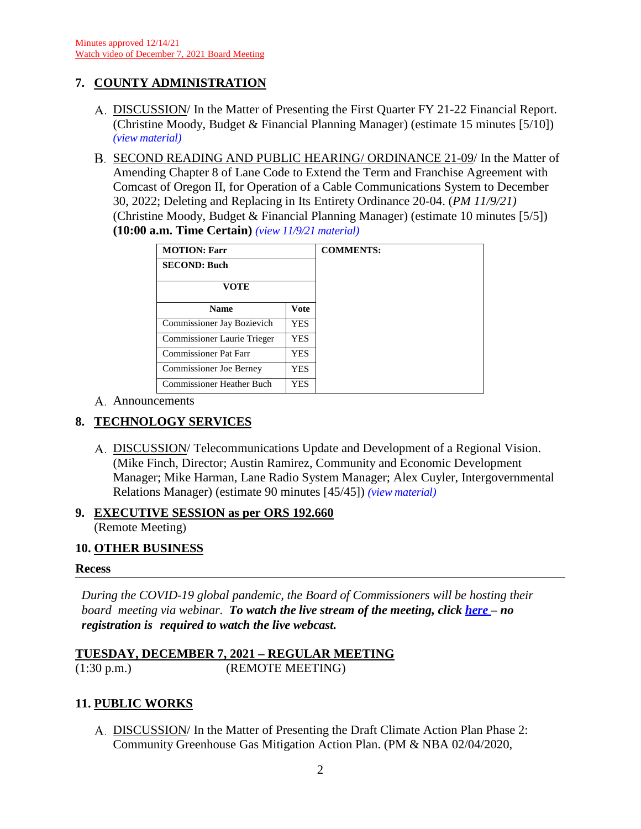# **7. COUNTY ADMINISTRATION**

- DISCUSSION/ In the Matter of Presenting the First Quarter FY 21-22 Financial Report. (Christine Moody, Budget & Financial Planning Manager) (estimate 15 minutes [5/10]) *(view [material\)](http://www.lanecountyor.gov/UserFiles/Servers/Server_3585797/File/Government/BCC/2021/2021_AGENDAS/120721agenda/T.7.A.pdf)*
- B. SECOND READING AND PUBLIC HEARING/ ORDINANCE 21-09/ In the Matter of Amending Chapter 8 of Lane Code to Extend the Term and Franchise Agreement with Comcast of Oregon II, for Operation of a Cable Communications System to December 30, 2022; Deleting and Replacing in Its Entirety Ordinance 20-04. (*PM 11/9/21)* (Christine Moody, Budget & Financial Planning Manager) (estimate 10 minutes [5/5]) **(10:00 a.m. Time Certain)** *(view [11/9/21 material\)](http://www.lanecountyor.gov/UserFiles/Servers/Server_3585797/File/Government/BCC/2021/2021_AGENDAS/110921agenda/T.7.A.pdf)*

| <b>MOTION: Farr</b>              |             |
|----------------------------------|-------------|
| <b>SECOND: Buch</b>              |             |
| VOTE                             |             |
| <b>Name</b>                      | <b>Vote</b> |
| Commissioner Jay Bozievich       | YES.        |
| Commissioner Laurie Trieger      | <b>YES</b>  |
| Commissioner Pat Farr            | YES         |
| <b>Commissioner Joe Berney</b>   | YES         |
| <b>Commissioner Heather Buch</b> | YES         |

A. Announcements

# **8. TECHNOLOGY SERVICES**

A. DISCUSSION/Telecommunications Update and Development of a Regional Vision. (Mike Finch, Director; Austin Ramirez, Community and Economic Development Manager; Mike Harman, Lane Radio System Manager; Alex Cuyler, Intergovernmental Relations Manager) (estimate 90 minutes [45/45]) *(view [material\)](http://www.lanecountyor.gov/UserFiles/Servers/Server_3585797/File/Government/BCC/2021/2021_AGENDAS/120721agenda/T.8.A.pdf)*

# **9. EXECUTIVE SESSION as per ORS 192.660**

(Remote Meeting)

### **10. OTHER BUSINESS**

#### **Recess**

*During the COVID-19 global pandemic, the Board of Commissioners will be hosting their board meeting via webinar. To watch the live stream of the meeting, click [here](https://lanecounty.org/cms/One.aspx?portalId=3585881&pageId=7842434) – no registration is required to watch the live webcast.*

#### **TUESDAY, DECEMBER 7, 2021 – REGULAR MEETING** (1:30 p.m.) (REMOTE MEETING)

# **11. PUBLIC WORKS**

A. DISCUSSION/ In the Matter of Presenting the Draft Climate Action Plan Phase 2: Community Greenhouse Gas Mitigation Action Plan. (PM & NBA 02/04/2020,